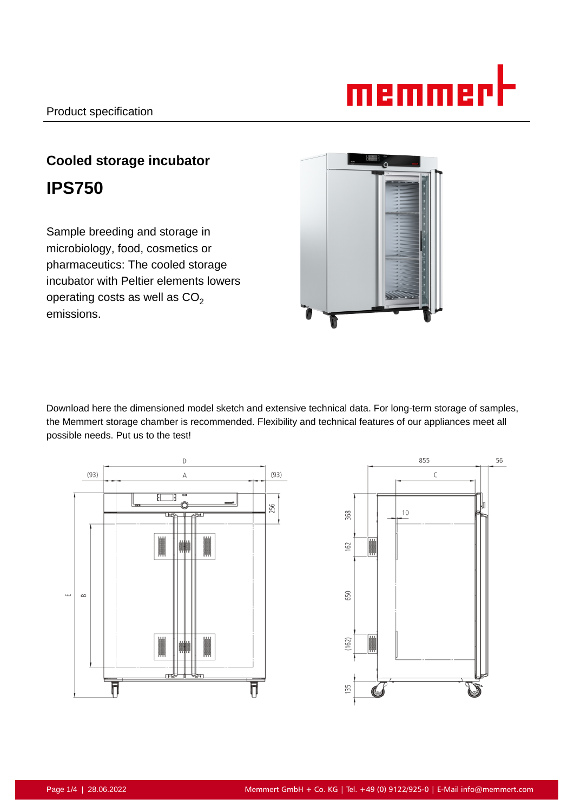# memmerh

# **Cooled storage incubator IPS750**

Sample breeding and storage in microbiology, food, cosmetics or pharmaceutics: The cooled storage incubator with Peltier elements lowers operating costs as well as  $CO<sub>2</sub>$ emissions.



Download here the dimensioned model sketch and extensive technical data. For long-term storage of samples, the Memmert storage chamber is recommended. Flexibility and technical features of our appliances meet all possible needs. Put us to the test!



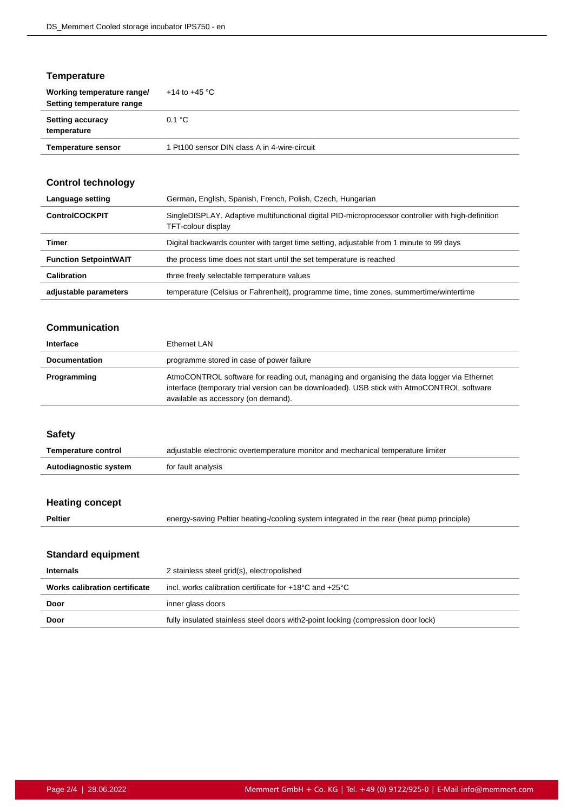# **Temperature**

| Working temperature range/<br>Setting temperature range | $+14$ to $+45$ °C                            |
|---------------------------------------------------------|----------------------------------------------|
| <b>Setting accuracy</b><br>temperature                  | 0.1 °C                                       |
| <b>Temperature sensor</b>                               | 1 Pt100 sensor DIN class A in 4-wire-circuit |

# **Control technology**

| Language setting             | German, English, Spanish, French, Polish, Czech, Hungarian                                                               |
|------------------------------|--------------------------------------------------------------------------------------------------------------------------|
| <b>ControlCOCKPIT</b>        | SingleDISPLAY. Adaptive multifunctional digital PID-microprocessor controller with high-definition<br>TFT-colour display |
| Timer                        | Digital backwards counter with target time setting, adjustable from 1 minute to 99 days                                  |
| <b>Function SetpointWAIT</b> | the process time does not start until the set temperature is reached                                                     |
| Calibration                  | three freely selectable temperature values                                                                               |
| adjustable parameters        | temperature (Celsius or Fahrenheit), programme time, time zones, summertime/wintertime                                   |

#### **Communication**

| Interface            | Ethernet LAN                                                                                                                                                                                                                    |
|----------------------|---------------------------------------------------------------------------------------------------------------------------------------------------------------------------------------------------------------------------------|
| <b>Documentation</b> | programme stored in case of power failure                                                                                                                                                                                       |
| Programming          | AtmoCONTROL software for reading out, managing and organising the data logger via Ethernet<br>interface (temporary trial version can be downloaded). USB stick with AtmoCONTROL software<br>available as accessory (on demand). |

#### **Safety**

| <b>Temperature control</b> | adjustable electronic overtemperature monitor and mechanical temperature limiter |
|----------------------------|----------------------------------------------------------------------------------|
| Autodiagnostic system      | for fault analysis                                                               |

# **Heating concept**

Peltier **Peltier** energy-saving Peltier heating-/cooling system integrated in the rear (heat pump principle)

# **Standard equipment**

| Internals                     | 2 stainless steel grid(s), electropolished                                         |
|-------------------------------|------------------------------------------------------------------------------------|
| Works calibration certificate | incl. works calibration certificate for $+18^{\circ}$ C and $+25^{\circ}$ C        |
| Door                          | inner glass doors                                                                  |
| Door                          | fully insulated stainless steel doors with 2-point locking (compression door lock) |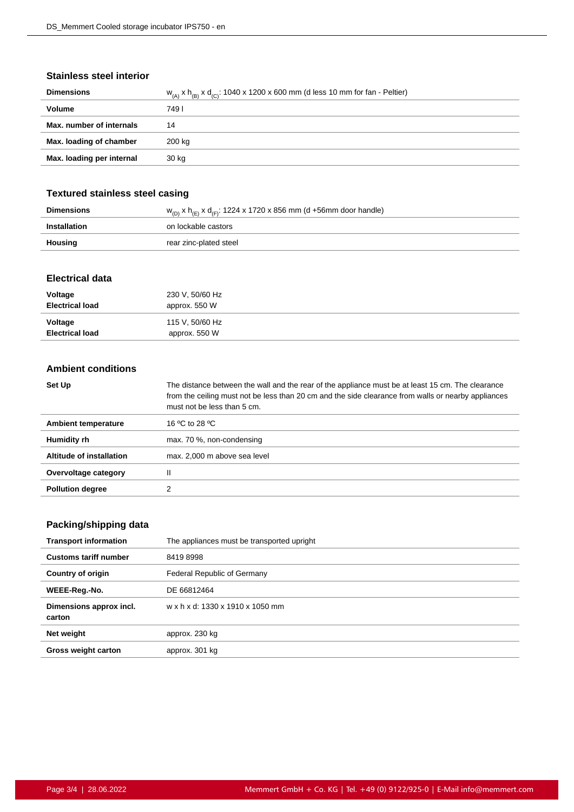#### **Stainless steel interior**

| <b>Dimensions</b>         | $W_{(A)}$ x $h_{(B)}$ x $d_{(C)}$ : 1040 x 1200 x 600 mm (d less 10 mm for fan - Peltier) |
|---------------------------|-------------------------------------------------------------------------------------------|
| Volume                    | 749 I                                                                                     |
| Max. number of internals  | 14                                                                                        |
| Max. loading of chamber   | 200 ka                                                                                    |
| Max. loading per internal | 30 kg                                                                                     |
|                           |                                                                                           |

# **Textured stainless steel casing**

| <b>Dimensions</b> | $w_{(D)}$ x h <sub>(E)</sub> x d <sub>(F)</sub> : 1224 x 1720 x 856 mm (d +56mm door handle) |
|-------------------|----------------------------------------------------------------------------------------------|
| Installation      | on lockable castors                                                                          |
| Housing           | rear zinc-plated steel                                                                       |

#### **Electrical data**

| Voltage<br><b>Electrical load</b> | 230 V, 50/60 Hz<br>approx. 550 W |  |
|-----------------------------------|----------------------------------|--|
| Voltage<br><b>Electrical load</b> | 115 V, 50/60 Hz<br>approx. 550 W |  |

#### **Ambient conditions**

| Set Up                   | The distance between the wall and the rear of the appliance must be at least 15 cm. The clearance<br>from the ceiling must not be less than 20 cm and the side clearance from walls or nearby appliances<br>must not be less than 5 cm. |
|--------------------------|-----------------------------------------------------------------------------------------------------------------------------------------------------------------------------------------------------------------------------------------|
| Ambient temperature      | 16 °C to 28 °C                                                                                                                                                                                                                          |
| Humidity rh              | max. 70 %, non-condensing                                                                                                                                                                                                               |
| Altitude of installation | max. 2,000 m above sea level                                                                                                                                                                                                            |
| Overvoltage category     |                                                                                                                                                                                                                                         |
| <b>Pollution degree</b>  |                                                                                                                                                                                                                                         |

# **Packing/shipping data**

| The appliances must be transported upright |
|--------------------------------------------|
| 84198998                                   |
| Federal Republic of Germany                |
| DE 66812464                                |
| w x h x d: 1330 x 1910 x 1050 mm           |
| approx. 230 kg                             |
| approx. 301 kg                             |
|                                            |